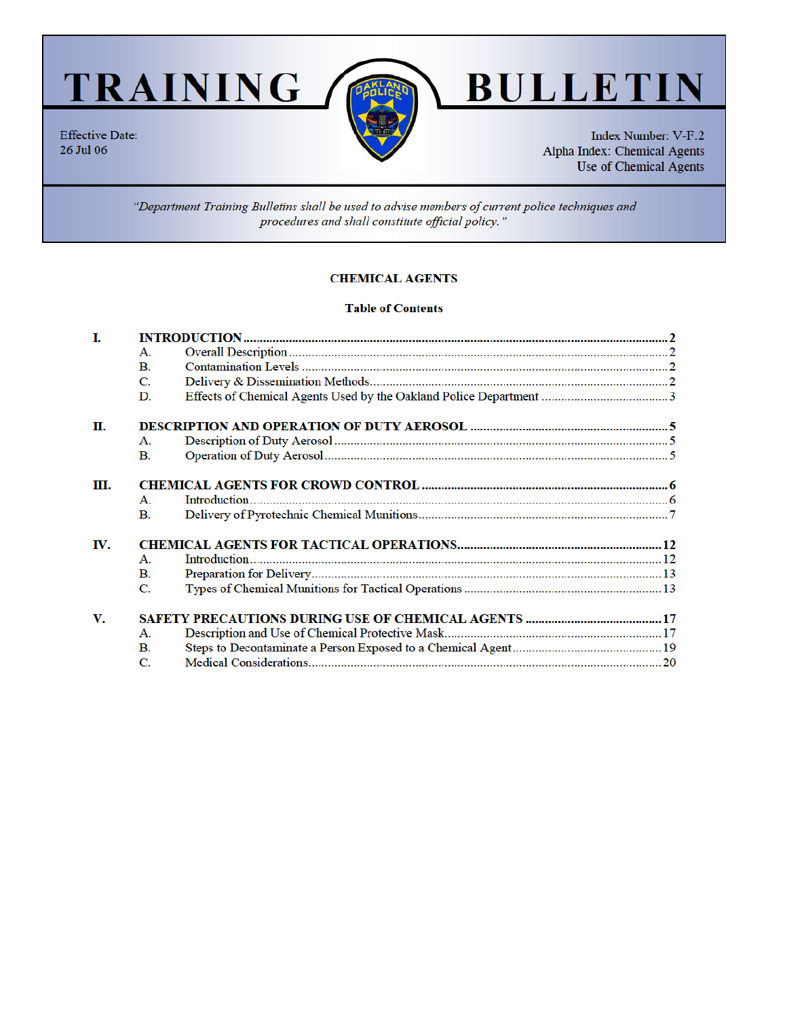TRAINING /

**Effective Date:** 

26 Jul 06



# **BULLE TIN**

Index Number: V-F.2 Alpha Index: Chemical Agents Use of Chemical Agents

"Department Training Bulletins shall be used to advise members of current police techniques and procedures and shall constitute official policy."

# **CHEMICAL AGENTS**

## **Table of Contents**

| Ī.  |                |  |  |  |
|-----|----------------|--|--|--|
|     | $\mathbf{A}$ . |  |  |  |
|     | $\mathbf{B}$ . |  |  |  |
|     | C.             |  |  |  |
|     | D.             |  |  |  |
| П.  |                |  |  |  |
|     | Α.             |  |  |  |
|     | $\mathbf{B}$ . |  |  |  |
| Ш.  |                |  |  |  |
|     | $\mathbf{A}$ . |  |  |  |
|     | $\mathbf{B}$ . |  |  |  |
| IV. |                |  |  |  |
|     | $\mathbf{A}$ . |  |  |  |
|     | $\mathbf{B}$ . |  |  |  |
|     | C.             |  |  |  |
| V.  |                |  |  |  |
|     | А.             |  |  |  |
|     | В.             |  |  |  |
|     | C.             |  |  |  |
|     |                |  |  |  |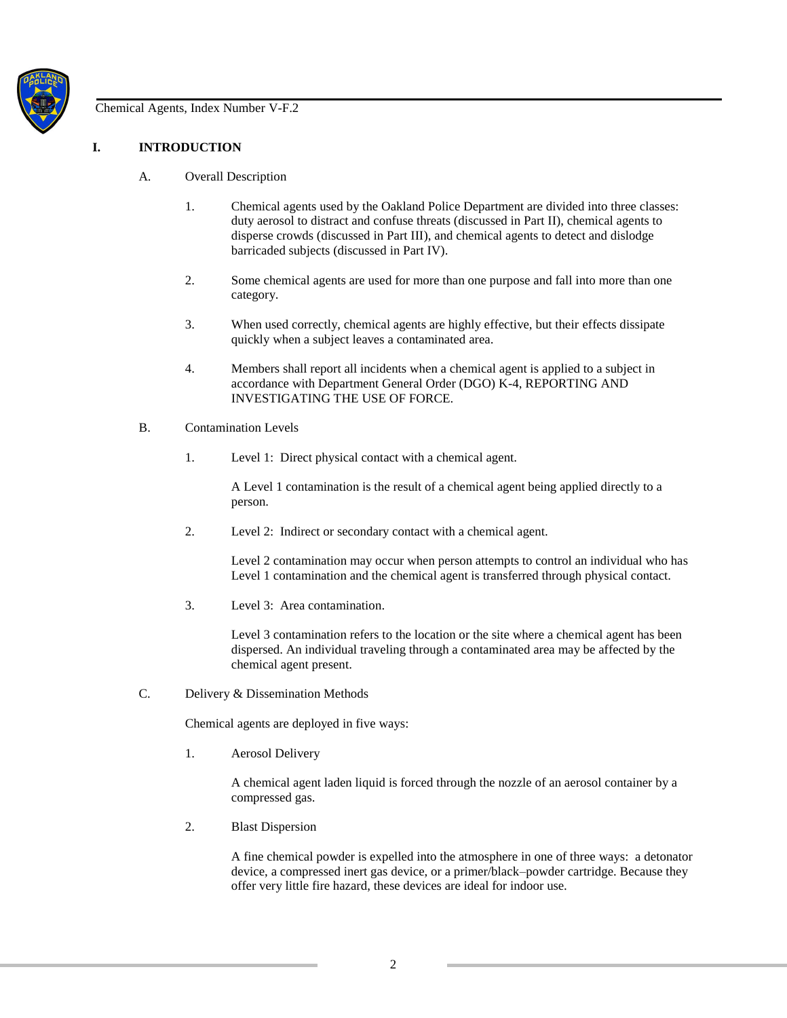

# **I. INTRODUCTION**

- A. Overall Description
	- 1. Chemical agents used by the Oakland Police Department are divided into three classes: duty aerosol to distract and confuse threats (discussed in Part II), chemical agents to disperse crowds (discussed in Part III), and chemical agents to detect and dislodge barricaded subjects (discussed in Part IV).
	- 2. Some chemical agents are used for more than one purpose and fall into more than one category.
	- 3. When used correctly, chemical agents are highly effective, but their effects dissipate quickly when a subject leaves a contaminated area.
	- 4. Members shall report all incidents when a chemical agent is applied to a subject in accordance with Department General Order (DGO) K-4, REPORTING AND INVESTIGATING THE USE OF FORCE.
- B. Contamination Levels
	- 1. Level 1: Direct physical contact with a chemical agent.

A Level 1 contamination is the result of a chemical agent being applied directly to a person.

2. Level 2: Indirect or secondary contact with a chemical agent.

Level 2 contamination may occur when person attempts to control an individual who has Level 1 contamination and the chemical agent is transferred through physical contact.

3. Level 3: Area contamination.

Level 3 contamination refers to the location or the site where a chemical agent has been dispersed. An individual traveling through a contaminated area may be affected by the chemical agent present.

C. Delivery & Dissemination Methods

Chemical agents are deployed in five ways:

1. Aerosol Delivery

A chemical agent laden liquid is forced through the nozzle of an aerosol container by a compressed gas.

2. Blast Dispersion

A fine chemical powder is expelled into the atmosphere in one of three ways: a detonator device, a compressed inert gas device, or a primer/black–powder cartridge. Because they offer very little fire hazard, these devices are ideal for indoor use.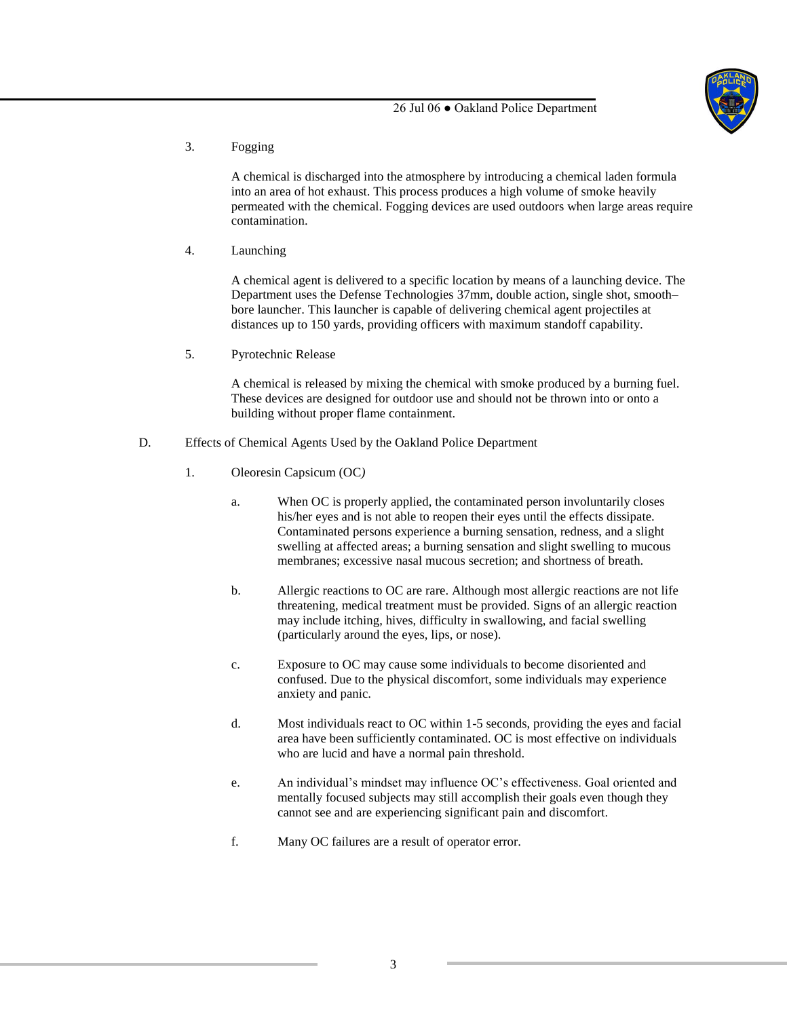

3. Fogging

A chemical is discharged into the atmosphere by introducing a chemical laden formula into an area of hot exhaust. This process produces a high volume of smoke heavily permeated with the chemical. Fogging devices are used outdoors when large areas require contamination.

4. Launching

A chemical agent is delivered to a specific location by means of a launching device. The Department uses the Defense Technologies 37mm, double action, single shot, smooth– bore launcher. This launcher is capable of delivering chemical agent projectiles at distances up to 150 yards, providing officers with maximum standoff capability.

5. Pyrotechnic Release

A chemical is released by mixing the chemical with smoke produced by a burning fuel. These devices are designed for outdoor use and should not be thrown into or onto a building without proper flame containment.

- D. Effects of Chemical Agents Used by the Oakland Police Department
	- 1. Oleoresin Capsicum (OC*)* 
		- a. When OC is properly applied, the contaminated person involuntarily closes his/her eyes and is not able to reopen their eyes until the effects dissipate. Contaminated persons experience a burning sensation, redness, and a slight swelling at affected areas; a burning sensation and slight swelling to mucous membranes; excessive nasal mucous secretion; and shortness of breath.
		- b. Allergic reactions to OC are rare. Although most allergic reactions are not life threatening, medical treatment must be provided. Signs of an allergic reaction may include itching, hives, difficulty in swallowing, and facial swelling (particularly around the eyes, lips, or nose).
		- c. Exposure to OC may cause some individuals to become disoriented and confused. Due to the physical discomfort, some individuals may experience anxiety and panic.
		- d. Most individuals react to OC within 1-5 seconds, providing the eyes and facial area have been sufficiently contaminated. OC is most effective on individuals who are lucid and have a normal pain threshold.
		- e. An individual's mindset may influence OC's effectiveness. Goal oriented and mentally focused subjects may still accomplish their goals even though they cannot see and are experiencing significant pain and discomfort.
		- f. Many OC failures are a result of operator error.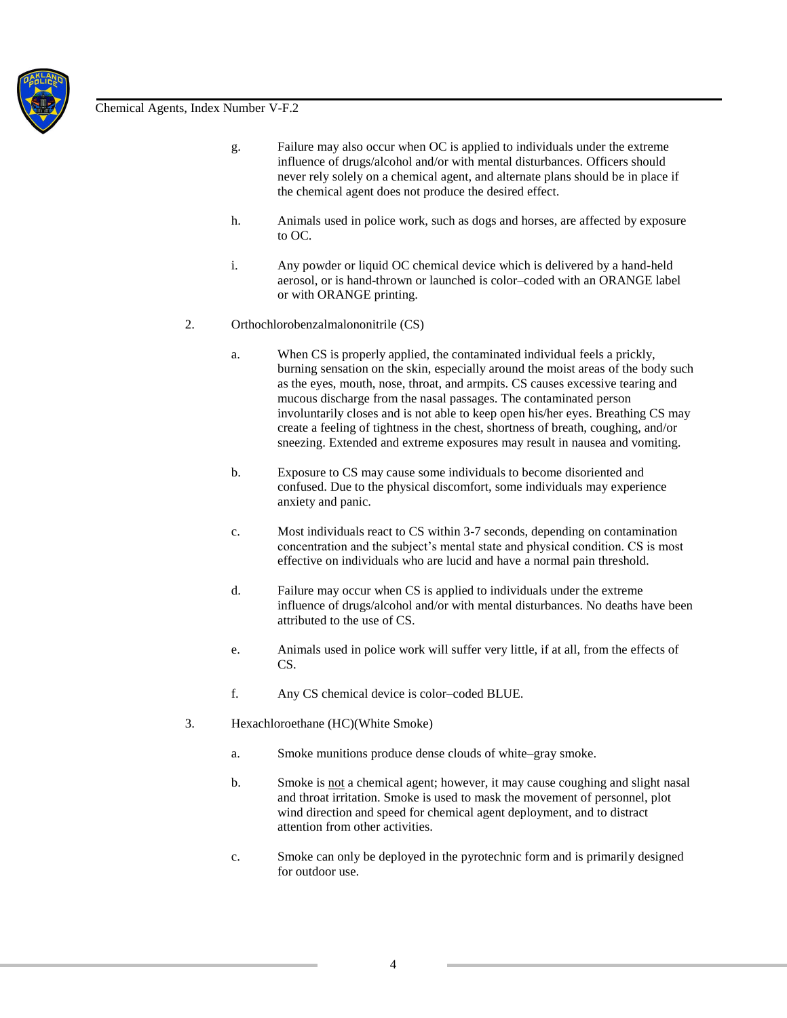

- g. Failure may also occur when OC is applied to individuals under the extreme influence of drugs/alcohol and/or with mental disturbances. Officers should never rely solely on a chemical agent, and alternate plans should be in place if the chemical agent does not produce the desired effect.
- h. Animals used in police work, such as dogs and horses, are affected by exposure to OC.
- i. Any powder or liquid OC chemical device which is delivered by a hand-held aerosol, or is hand-thrown or launched is color–coded with an ORANGE label or with ORANGE printing.
- 2. Orthochlorobenzalmalononitrile (CS)
	- a. When CS is properly applied, the contaminated individual feels a prickly, burning sensation on the skin, especially around the moist areas of the body such as the eyes, mouth, nose, throat, and armpits. CS causes excessive tearing and mucous discharge from the nasal passages. The contaminated person involuntarily closes and is not able to keep open his/her eyes. Breathing CS may create a feeling of tightness in the chest, shortness of breath, coughing, and/or sneezing. Extended and extreme exposures may result in nausea and vomiting.
	- b. Exposure to CS may cause some individuals to become disoriented and confused. Due to the physical discomfort, some individuals may experience anxiety and panic.
	- c. Most individuals react to CS within 3-7 seconds, depending on contamination concentration and the subject's mental state and physical condition. CS is most effective on individuals who are lucid and have a normal pain threshold.
	- d. Failure may occur when CS is applied to individuals under the extreme influence of drugs/alcohol and/or with mental disturbances. No deaths have been attributed to the use of CS.
	- e. Animals used in police work will suffer very little, if at all, from the effects of CS.
	- f. Any CS chemical device is color–coded BLUE.
- 3. Hexachloroethane (HC)(White Smoke)
	- a. Smoke munitions produce dense clouds of white–gray smoke.
	- b. Smoke is not a chemical agent; however, it may cause coughing and slight nasal and throat irritation. Smoke is used to mask the movement of personnel, plot wind direction and speed for chemical agent deployment, and to distract attention from other activities.
	- c. Smoke can only be deployed in the pyrotechnic form and is primarily designed for outdoor use.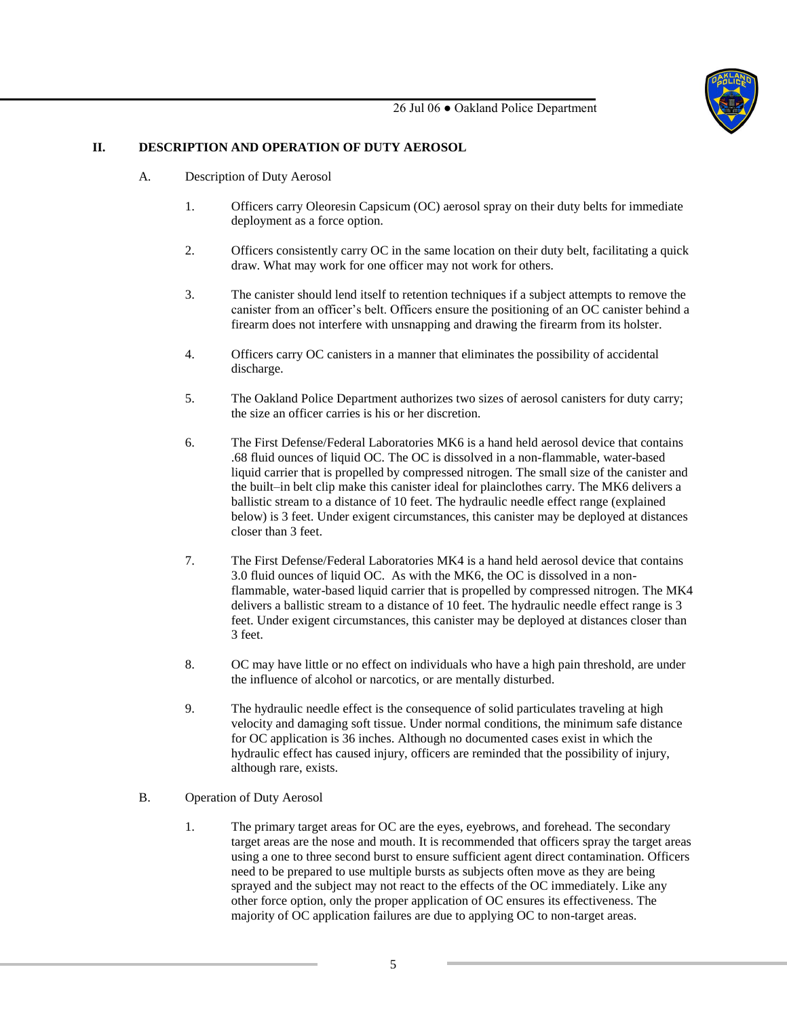

## **II. DESCRIPTION AND OPERATION OF DUTY AEROSOL**

- A. Description of Duty Aerosol
	- 1. Officers carry Oleoresin Capsicum (OC) aerosol spray on their duty belts for immediate deployment as a force option.
	- 2. Officers consistently carry OC in the same location on their duty belt, facilitating a quick draw. What may work for one officer may not work for others.
	- 3. The canister should lend itself to retention techniques if a subject attempts to remove the canister from an officer's belt. Officers ensure the positioning of an OC canister behind a firearm does not interfere with unsnapping and drawing the firearm from its holster.
	- 4. Officers carry OC canisters in a manner that eliminates the possibility of accidental discharge.
	- 5. The Oakland Police Department authorizes two sizes of aerosol canisters for duty carry; the size an officer carries is his or her discretion.
	- 6. The First Defense/Federal Laboratories MK6 is a hand held aerosol device that contains .68 fluid ounces of liquid OC. The OC is dissolved in a non-flammable, water-based liquid carrier that is propelled by compressed nitrogen. The small size of the canister and the built–in belt clip make this canister ideal for plainclothes carry. The MK6 delivers a ballistic stream to a distance of 10 feet. The hydraulic needle effect range (explained below) is 3 feet. Under exigent circumstances, this canister may be deployed at distances closer than 3 feet.
	- 7. The First Defense/Federal Laboratories MK4 is a hand held aerosol device that contains 3.0 fluid ounces of liquid OC. As with the MK6, the OC is dissolved in a nonflammable, water-based liquid carrier that is propelled by compressed nitrogen. The MK4 delivers a ballistic stream to a distance of 10 feet. The hydraulic needle effect range is 3 feet. Under exigent circumstances, this canister may be deployed at distances closer than 3 feet.
	- 8. OC may have little or no effect on individuals who have a high pain threshold, are under the influence of alcohol or narcotics, or are mentally disturbed.
	- 9. The hydraulic needle effect is the consequence of solid particulates traveling at high velocity and damaging soft tissue. Under normal conditions, the minimum safe distance for OC application is 36 inches. Although no documented cases exist in which the hydraulic effect has caused injury, officers are reminded that the possibility of injury, although rare, exists.
- B. Operation of Duty Aerosol
	- 1. The primary target areas for OC are the eyes, eyebrows, and forehead. The secondary target areas are the nose and mouth. It is recommended that officers spray the target areas using a one to three second burst to ensure sufficient agent direct contamination. Officers need to be prepared to use multiple bursts as subjects often move as they are being sprayed and the subject may not react to the effects of the OC immediately. Like any other force option, only the proper application of OC ensures its effectiveness. The majority of OC application failures are due to applying OC to non-target areas.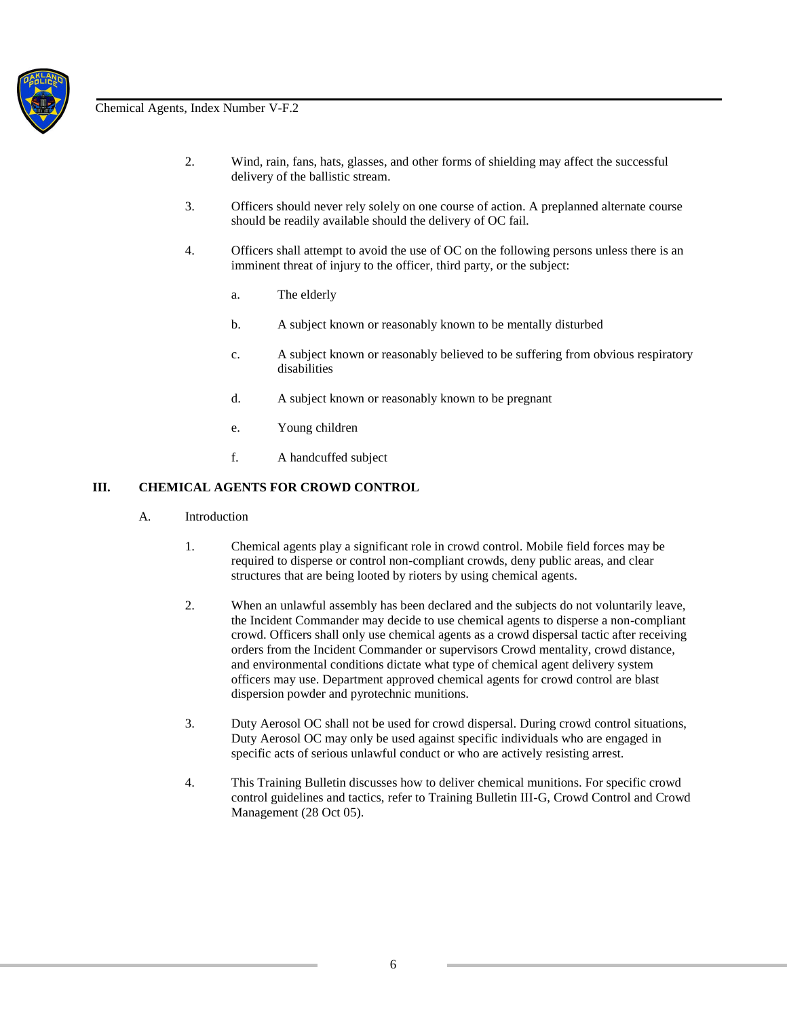

- 2. Wind, rain, fans, hats, glasses, and other forms of shielding may affect the successful delivery of the ballistic stream.
- 3. Officers should never rely solely on one course of action. A preplanned alternate course should be readily available should the delivery of OC fail.
- 4. Officers shall attempt to avoid the use of OC on the following persons unless there is an imminent threat of injury to the officer, third party, or the subject:
	- a. The elderly
	- b. A subject known or reasonably known to be mentally disturbed
	- c. A subject known or reasonably believed to be suffering from obvious respiratory disabilities
	- d. A subject known or reasonably known to be pregnant
	- e. Young children
	- f. A handcuffed subject

## **III. CHEMICAL AGENTS FOR CROWD CONTROL**

- A. Introduction
	- 1. Chemical agents play a significant role in crowd control. Mobile field forces may be required to disperse or control non-compliant crowds, deny public areas, and clear structures that are being looted by rioters by using chemical agents.
	- 2. When an unlawful assembly has been declared and the subjects do not voluntarily leave, the Incident Commander may decide to use chemical agents to disperse a non-compliant crowd. Officers shall only use chemical agents as a crowd dispersal tactic after receiving orders from the Incident Commander or supervisors Crowd mentality, crowd distance, and environmental conditions dictate what type of chemical agent delivery system officers may use. Department approved chemical agents for crowd control are blast dispersion powder and pyrotechnic munitions.
	- 3. Duty Aerosol OC shall not be used for crowd dispersal. During crowd control situations, Duty Aerosol OC may only be used against specific individuals who are engaged in specific acts of serious unlawful conduct or who are actively resisting arrest.
	- 4. This Training Bulletin discusses how to deliver chemical munitions. For specific crowd control guidelines and tactics, refer to Training Bulletin III-G, Crowd Control and Crowd Management (28 Oct 05).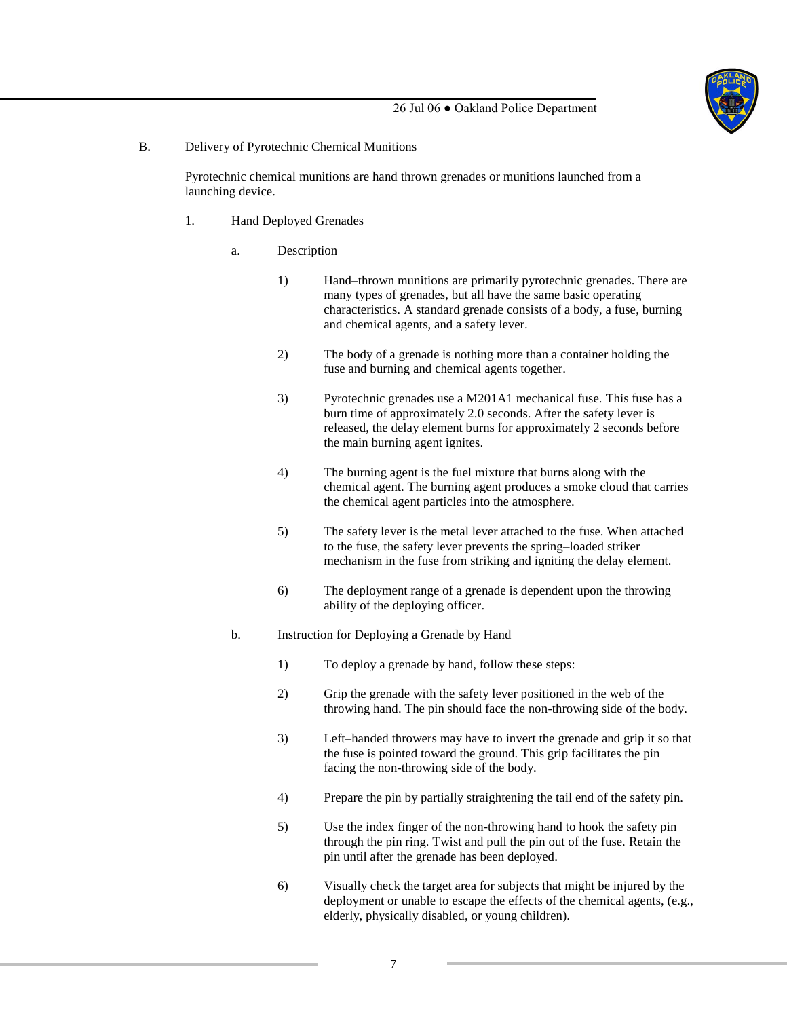

#### B. Delivery of Pyrotechnic Chemical Munitions

Pyrotechnic chemical munitions are hand thrown grenades or munitions launched from a launching device.

- 1. Hand Deployed Grenades
	- a. Description
		- 1) Hand–thrown munitions are primarily pyrotechnic grenades. There are many types of grenades, but all have the same basic operating characteristics. A standard grenade consists of a body, a fuse, burning and chemical agents, and a safety lever.
		- 2) The body of a grenade is nothing more than a container holding the fuse and burning and chemical agents together.
		- 3) Pyrotechnic grenades use a M201A1 mechanical fuse. This fuse has a burn time of approximately 2.0 seconds. After the safety lever is released, the delay element burns for approximately 2 seconds before the main burning agent ignites.
		- 4) The burning agent is the fuel mixture that burns along with the chemical agent. The burning agent produces a smoke cloud that carries the chemical agent particles into the atmosphere.
		- 5) The safety lever is the metal lever attached to the fuse. When attached to the fuse, the safety lever prevents the spring–loaded striker mechanism in the fuse from striking and igniting the delay element.
		- 6) The deployment range of a grenade is dependent upon the throwing ability of the deploying officer.
	- b. Instruction for Deploying a Grenade by Hand
		- 1) To deploy a grenade by hand, follow these steps:
		- 2) Grip the grenade with the safety lever positioned in the web of the throwing hand. The pin should face the non-throwing side of the body.
		- 3) Left–handed throwers may have to invert the grenade and grip it so that the fuse is pointed toward the ground. This grip facilitates the pin facing the non-throwing side of the body.
		- 4) Prepare the pin by partially straightening the tail end of the safety pin.
		- 5) Use the index finger of the non-throwing hand to hook the safety pin through the pin ring. Twist and pull the pin out of the fuse. Retain the pin until after the grenade has been deployed.
		- 6) Visually check the target area for subjects that might be injured by the deployment or unable to escape the effects of the chemical agents, (e.g., elderly, physically disabled, or young children).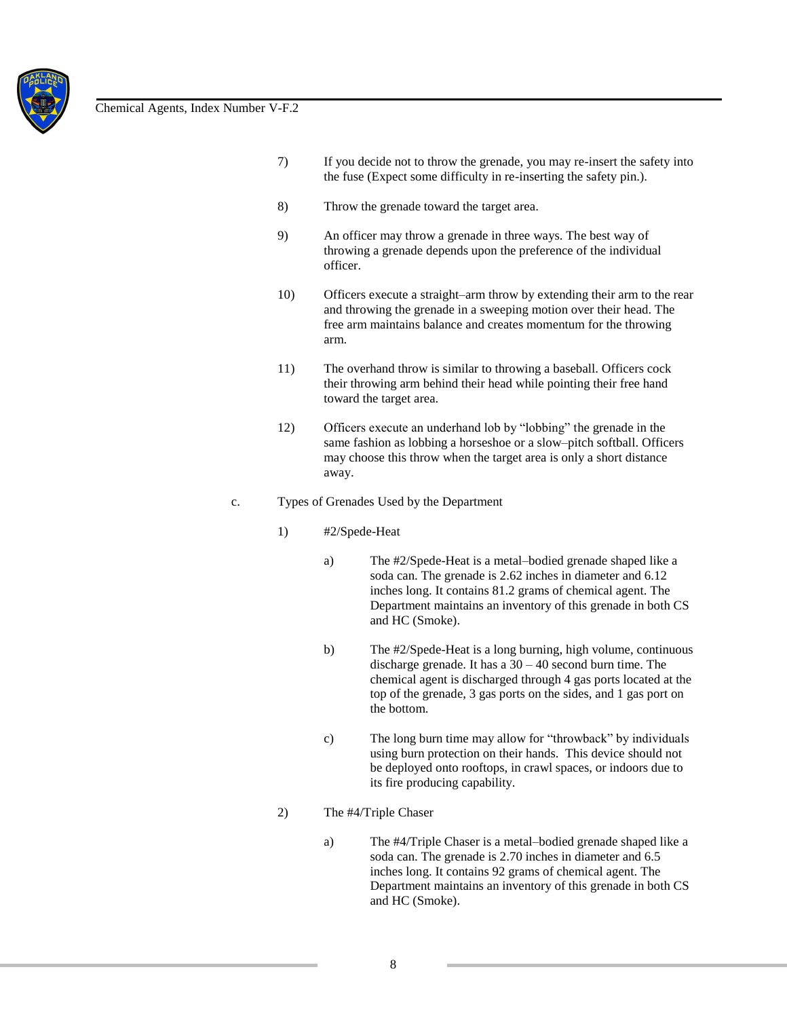

- 7) If you decide not to throw the grenade, you may re-insert the safety into the fuse (Expect some difficulty in re-inserting the safety pin.).
- 8) Throw the grenade toward the target area.
- 9) An officer may throw a grenade in three ways. The best way of throwing a grenade depends upon the preference of the individual officer.
- 10) Officers execute a straight–arm throw by extending their arm to the rear and throwing the grenade in a sweeping motion over their head. The free arm maintains balance and creates momentum for the throwing arm.
- 11) The overhand throw is similar to throwing a baseball. Officers cock their throwing arm behind their head while pointing their free hand toward the target area.
- 12) Officers execute an underhand lob by "lobbing" the grenade in the same fashion as lobbing a horseshoe or a slow–pitch softball. Officers may choose this throw when the target area is only a short distance away.
- c. Types of Grenades Used by the Department
	- 1) #2/Spede-Heat
		- a) The #2/Spede-Heat is a metal–bodied grenade shaped like a soda can. The grenade is 2.62 inches in diameter and 6.12 inches long. It contains 81.2 grams of chemical agent. The Department maintains an inventory of this grenade in both CS and HC (Smoke).
		- b) The #2/Spede-Heat is a long burning, high volume, continuous discharge grenade. It has a 30 – 40 second burn time. The chemical agent is discharged through 4 gas ports located at the top of the grenade, 3 gas ports on the sides, and 1 gas port on the bottom.
		- c) The long burn time may allow for "throwback" by individuals using burn protection on their hands. This device should not be deployed onto rooftops, in crawl spaces, or indoors due to its fire producing capability.
	- 2) The #4/Triple Chaser
		- a) The #4/Triple Chaser is a metal–bodied grenade shaped like a soda can. The grenade is 2.70 inches in diameter and 6.5 inches long. It contains 92 grams of chemical agent. The Department maintains an inventory of this grenade in both CS and HC (Smoke).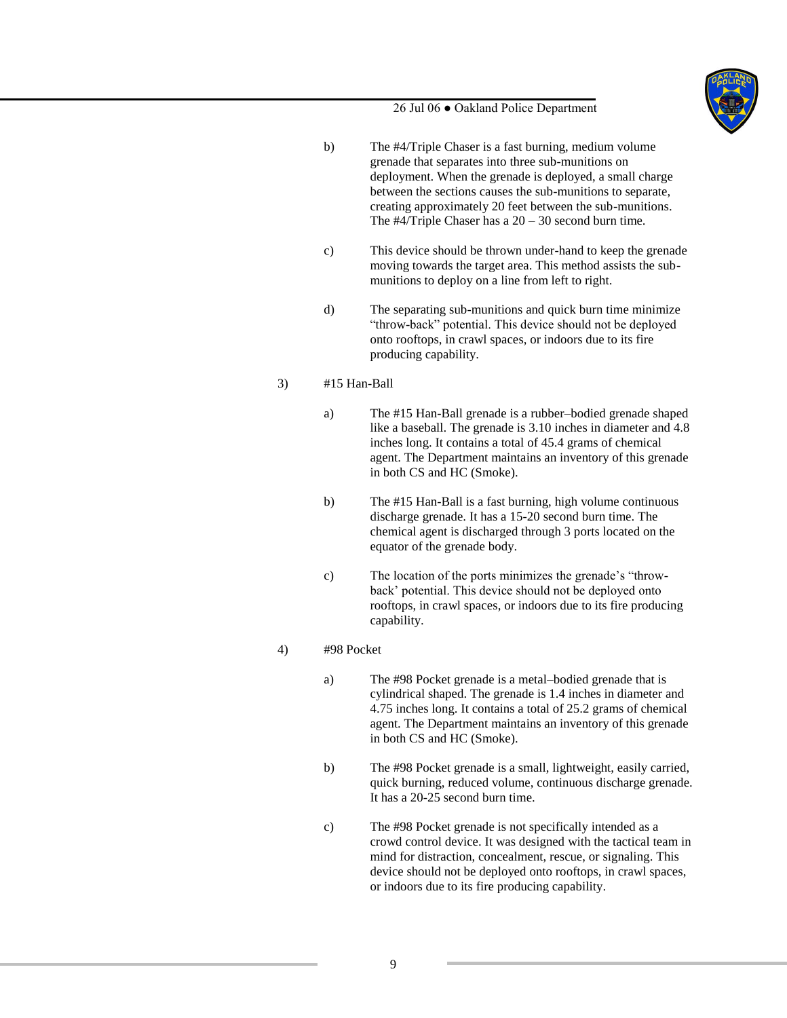

- b) The #4/Triple Chaser is a fast burning, medium volume grenade that separates into three sub-munitions on deployment. When the grenade is deployed, a small charge between the sections causes the sub-munitions to separate, creating approximately 20 feet between the sub-munitions. The  $\#4$ /Triple Chaser has a  $20 - 30$  second burn time.
- c) This device should be thrown under-hand to keep the grenade moving towards the target area. This method assists the submunitions to deploy on a line from left to right.
- d) The separating sub-munitions and quick burn time minimize "throw-back" potential. This device should not be deployed onto rooftops, in crawl spaces, or indoors due to its fire producing capability.

# 3) #15 Han-Ball

- a) The #15 Han-Ball grenade is a rubber–bodied grenade shaped like a baseball. The grenade is 3.10 inches in diameter and 4.8 inches long. It contains a total of 45.4 grams of chemical agent. The Department maintains an inventory of this grenade in both CS and HC (Smoke).
- b) The #15 Han-Ball is a fast burning, high volume continuous discharge grenade. It has a 15-20 second burn time. The chemical agent is discharged through 3 ports located on the equator of the grenade body.
- c) The location of the ports minimizes the grenade's "throwback' potential. This device should not be deployed onto rooftops, in crawl spaces, or indoors due to its fire producing capability.

## 4) #98 Pocket

- a) The #98 Pocket grenade is a metal–bodied grenade that is cylindrical shaped. The grenade is 1.4 inches in diameter and 4.75 inches long. It contains a total of 25.2 grams of chemical agent. The Department maintains an inventory of this grenade in both CS and HC (Smoke).
- b) The #98 Pocket grenade is a small, lightweight, easily carried, quick burning, reduced volume, continuous discharge grenade. It has a 20-25 second burn time.
- c) The #98 Pocket grenade is not specifically intended as a crowd control device. It was designed with the tactical team in mind for distraction, concealment, rescue, or signaling. This device should not be deployed onto rooftops, in crawl spaces, or indoors due to its fire producing capability.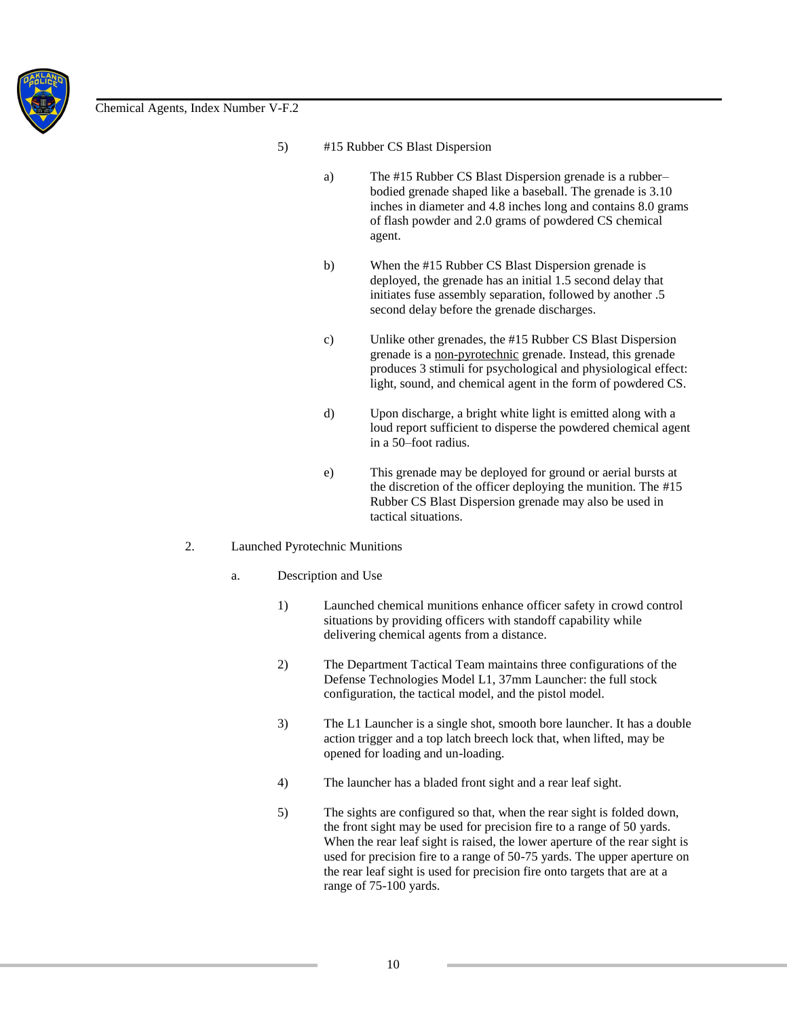

- 5) #15 Rubber CS Blast Dispersion
	- a) The #15 Rubber CS Blast Dispersion grenade is a rubber– bodied grenade shaped like a baseball. The grenade is 3.10 inches in diameter and 4.8 inches long and contains 8.0 grams of flash powder and 2.0 grams of powdered CS chemical agent.
	- b) When the #15 Rubber CS Blast Dispersion grenade is deployed, the grenade has an initial 1.5 second delay that initiates fuse assembly separation, followed by another .5 second delay before the grenade discharges.
	- c) Unlike other grenades, the #15 Rubber CS Blast Dispersion grenade is a non-pyrotechnic grenade. Instead, this grenade produces 3 stimuli for psychological and physiological effect: light, sound, and chemical agent in the form of powdered CS.
	- d) Upon discharge, a bright white light is emitted along with a loud report sufficient to disperse the powdered chemical agent in a 50–foot radius.
	- e) This grenade may be deployed for ground or aerial bursts at the discretion of the officer deploying the munition. The #15 Rubber CS Blast Dispersion grenade may also be used in tactical situations.

#### 2. Launched Pyrotechnic Munitions

- a. Description and Use
	- 1) Launched chemical munitions enhance officer safety in crowd control situations by providing officers with standoff capability while delivering chemical agents from a distance.
	- 2) The Department Tactical Team maintains three configurations of the Defense Technologies Model L1, 37mm Launcher: the full stock configuration, the tactical model, and the pistol model.
	- 3) The L1 Launcher is a single shot, smooth bore launcher. It has a double action trigger and a top latch breech lock that, when lifted, may be opened for loading and un-loading.
	- 4) The launcher has a bladed front sight and a rear leaf sight.
	- 5) The sights are configured so that, when the rear sight is folded down, the front sight may be used for precision fire to a range of 50 yards. When the rear leaf sight is raised, the lower aperture of the rear sight is used for precision fire to a range of 50-75 yards. The upper aperture on the rear leaf sight is used for precision fire onto targets that are at a range of 75-100 yards.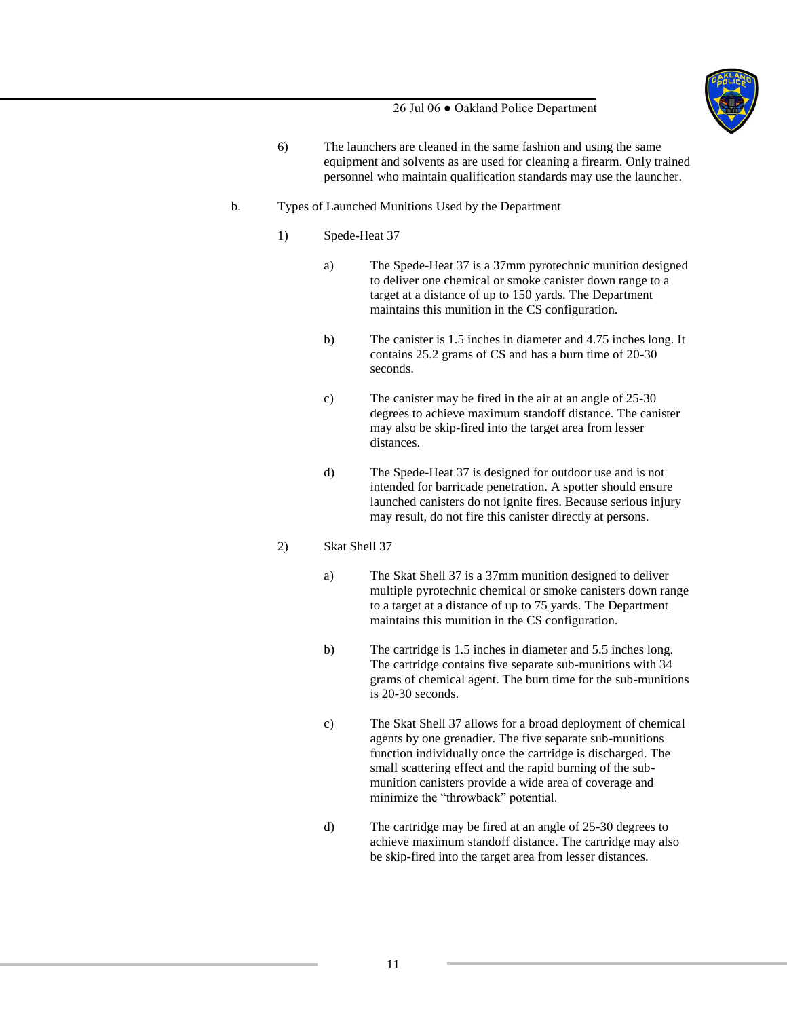

- 6) The launchers are cleaned in the same fashion and using the same equipment and solvents as are used for cleaning a firearm. Only trained personnel who maintain qualification standards may use the launcher.
- b. Types of Launched Munitions Used by the Department
	- 1) Spede-Heat 37
		- a) The Spede-Heat 37 is a 37mm pyrotechnic munition designed to deliver one chemical or smoke canister down range to a target at a distance of up to 150 yards. The Department maintains this munition in the CS configuration.
		- b) The canister is 1.5 inches in diameter and 4.75 inches long. It contains 25.2 grams of CS and has a burn time of 20-30 seconds.
		- c) The canister may be fired in the air at an angle of 25-30 degrees to achieve maximum standoff distance. The canister may also be skip-fired into the target area from lesser distances.
		- d) The Spede-Heat 37 is designed for outdoor use and is not intended for barricade penetration. A spotter should ensure launched canisters do not ignite fires. Because serious injury may result, do not fire this canister directly at persons.

## 2) Skat Shell 37

- a) The Skat Shell 37 is a 37mm munition designed to deliver multiple pyrotechnic chemical or smoke canisters down range to a target at a distance of up to 75 yards. The Department maintains this munition in the CS configuration.
- b) The cartridge is 1.5 inches in diameter and 5.5 inches long. The cartridge contains five separate sub-munitions with 34 grams of chemical agent. The burn time for the sub-munitions is 20-30 seconds.
- c) The Skat Shell 37 allows for a broad deployment of chemical agents by one grenadier. The five separate sub-munitions function individually once the cartridge is discharged. The small scattering effect and the rapid burning of the submunition canisters provide a wide area of coverage and minimize the "throwback" potential.
- d) The cartridge may be fired at an angle of 25-30 degrees to achieve maximum standoff distance. The cartridge may also be skip-fired into the target area from lesser distances.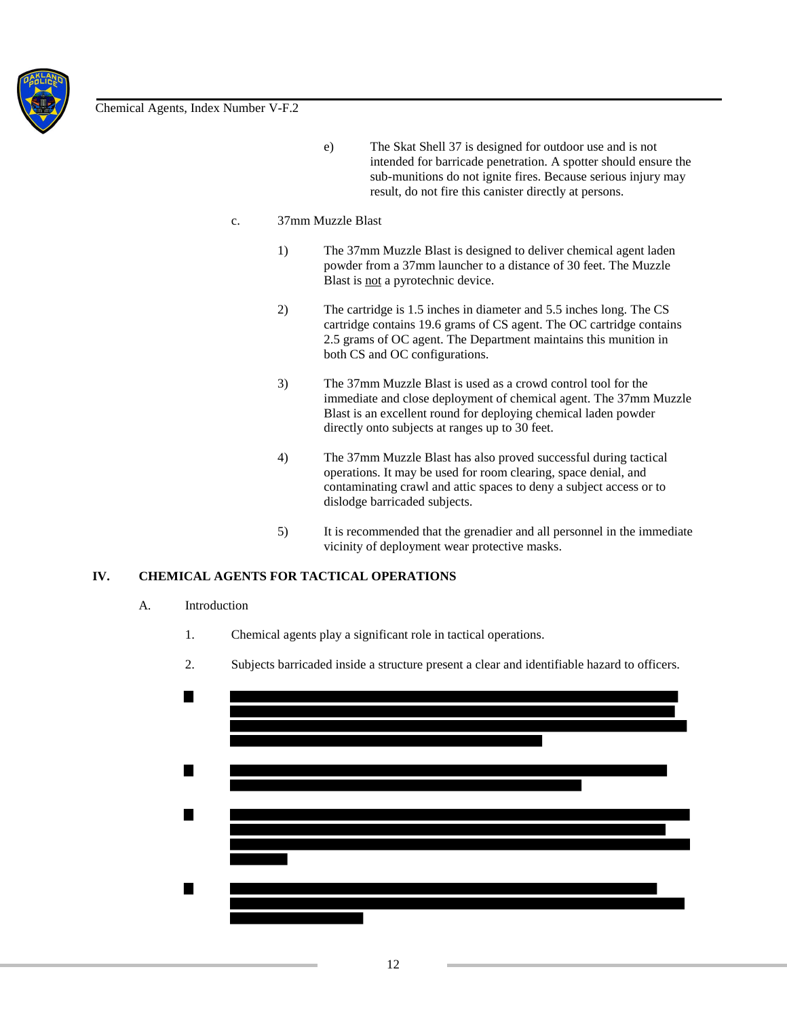

e) The Skat Shell 37 is designed for outdoor use and is not intended for barricade penetration. A spotter should ensure the sub-munitions do not ignite fires. Because serious injury may result, do not fire this canister directly at persons.

#### c. 37mm Muzzle Blast

- 1) The 37mm Muzzle Blast is designed to deliver chemical agent laden powder from a 37mm launcher to a distance of 30 feet. The Muzzle Blast is not a pyrotechnic device.
- 2) The cartridge is 1.5 inches in diameter and 5.5 inches long. The CS cartridge contains 19.6 grams of CS agent. The OC cartridge contains 2.5 grams of OC agent. The Department maintains this munition in both CS and OC configurations.
- 3) The 37mm Muzzle Blast is used as a crowd control tool for the immediate and close deployment of chemical agent. The 37mm Muzzle Blast is an excellent round for deploying chemical laden powder directly onto subjects at ranges up to 30 feet.
- 4) The 37mm Muzzle Blast has also proved successful during tactical operations. It may be used for room clearing, space denial, and contaminating crawl and attic spaces to deny a subject access or to dislodge barricaded subjects.
- 5) It is recommended that the grenadier and all personnel in the immediate vicinity of deployment wear protective masks.

# **IV. CHEMICAL AGENTS FOR TACTICAL OPERATIONS**

#### A. Introduction

- 1. Chemical agents play a significant role in tactical operations.
- 2. Subjects barricaded inside a structure present a clear and identifiable hazard to officers.

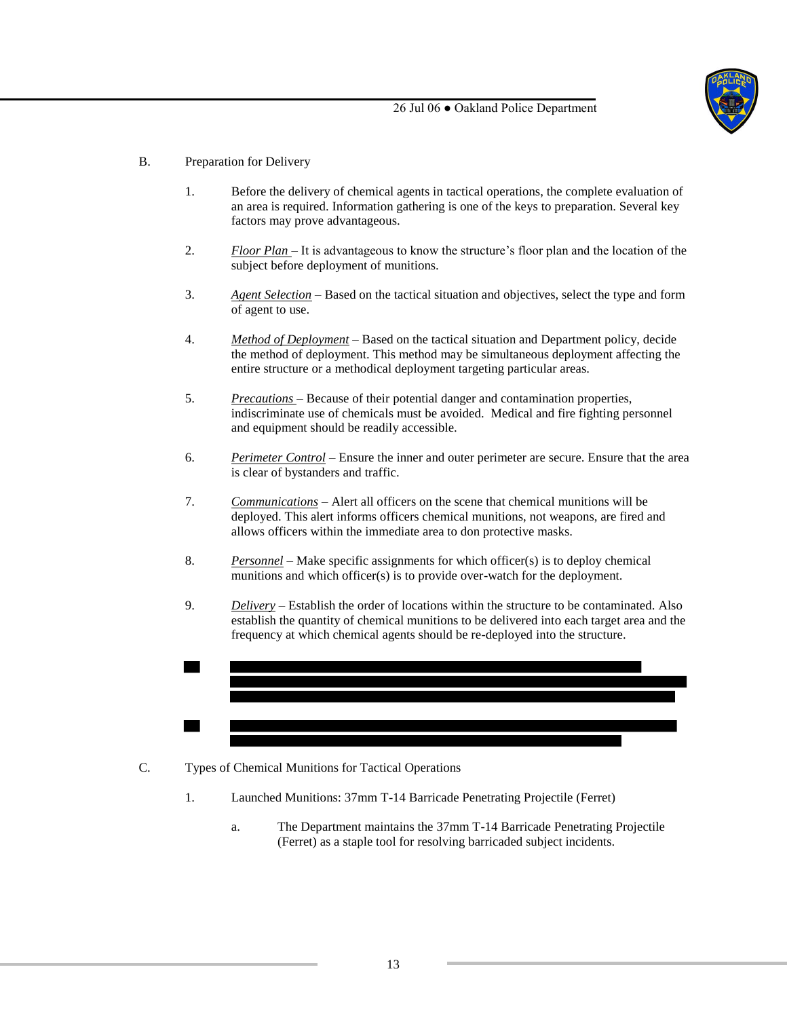

- B. Preparation for Delivery
	- 1. Before the delivery of chemical agents in tactical operations, the complete evaluation of an area is required. Information gathering is one of the keys to preparation. Several key factors may prove advantageous.
	- 2. *Floor Plan*  It is advantageous to know the structure's floor plan and the location of the subject before deployment of munitions.
	- 3. *Agent Selection* Based on the tactical situation and objectives, select the type and form of agent to use.
	- 4. *Method of Deployment* Based on the tactical situation and Department policy, decide the method of deployment. This method may be simultaneous deployment affecting the entire structure or a methodical deployment targeting particular areas.
	- 5. *Precautions*  Because of their potential danger and contamination properties, indiscriminate use of chemicals must be avoided. Medical and fire fighting personnel and equipment should be readily accessible.
	- 6. *Perimeter Control* Ensure the inner and outer perimeter are secure. Ensure that the area is clear of bystanders and traffic.
	- 7. *Communications* Alert all officers on the scene that chemical munitions will be deployed. This alert informs officers chemical munitions, not weapons, are fired and allows officers within the immediate area to don protective masks.
	- 8. *Personnel* Make specific assignments for which officer(s) is to deploy chemical munitions and which officer(s) is to provide over-watch for the deployment.
	- 9. *Delivery* Establish the order of locations within the structure to be contaminated. Also establish the quantity of chemical munitions to be delivered into each target area and the frequency at which chemical agents should be re-deployed into the structure.



- C. Types of Chemical Munitions for Tactical Operations
	- 1. Launched Munitions: 37mm T-14 Barricade Penetrating Projectile (Ferret)
		- a. The Department maintains the 37mm T-14 Barricade Penetrating Projectile (Ferret) as a staple tool for resolving barricaded subject incidents.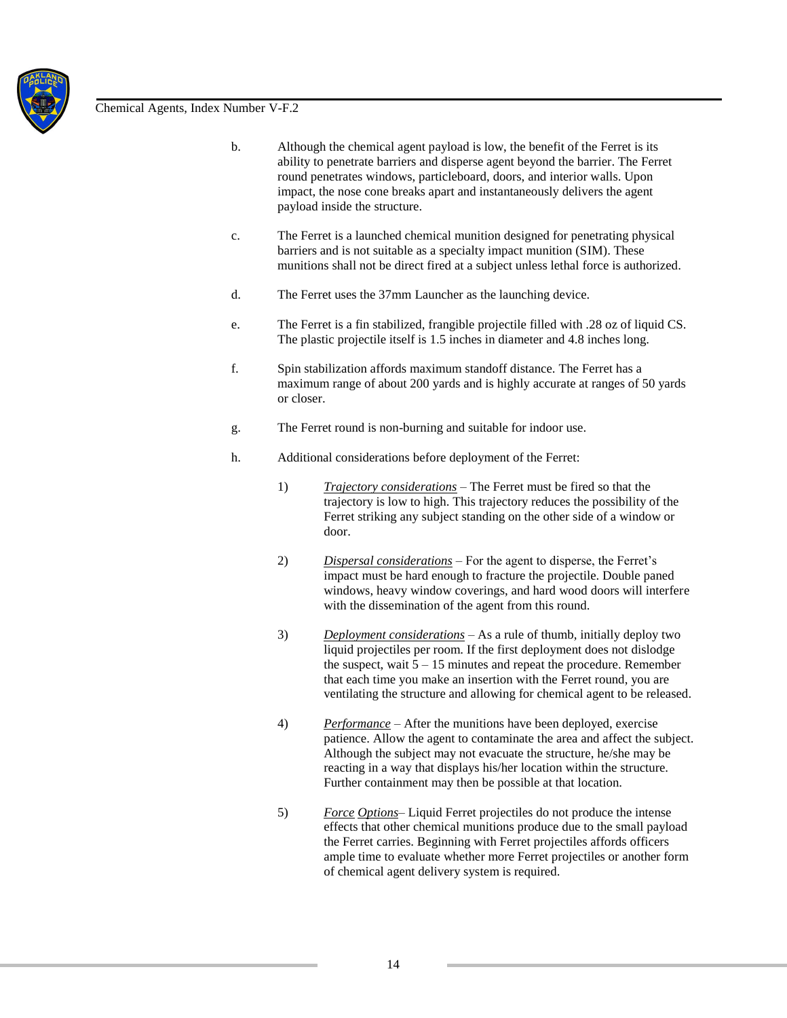

- b. Although the chemical agent payload is low, the benefit of the Ferret is its ability to penetrate barriers and disperse agent beyond the barrier. The Ferret round penetrates windows, particleboard, doors, and interior walls. Upon impact, the nose cone breaks apart and instantaneously delivers the agent payload inside the structure.
- c. The Ferret is a launched chemical munition designed for penetrating physical barriers and is not suitable as a specialty impact munition (SIM). These munitions shall not be direct fired at a subject unless lethal force is authorized.
- d. The Ferret uses the 37mm Launcher as the launching device.
- e. The Ferret is a fin stabilized, frangible projectile filled with .28 oz of liquid CS. The plastic projectile itself is 1.5 inches in diameter and 4.8 inches long.
- f. Spin stabilization affords maximum standoff distance. The Ferret has a maximum range of about 200 yards and is highly accurate at ranges of 50 yards or closer.
- g. The Ferret round is non-burning and suitable for indoor use.
- h. Additional considerations before deployment of the Ferret:
	- 1) *Trajectory considerations* The Ferret must be fired so that the trajectory is low to high. This trajectory reduces the possibility of the Ferret striking any subject standing on the other side of a window or door.
	- 2) *Dispersal considerations* For the agent to disperse, the Ferret's impact must be hard enough to fracture the projectile. Double paned windows, heavy window coverings, and hard wood doors will interfere with the dissemination of the agent from this round.
	- 3) *Deployment considerations* As a rule of thumb, initially deploy two liquid projectiles per room. If the first deployment does not dislodge the suspect, wait  $5 - 15$  minutes and repeat the procedure. Remember that each time you make an insertion with the Ferret round, you are ventilating the structure and allowing for chemical agent to be released.
	- 4) *Performance* After the munitions have been deployed, exercise patience. Allow the agent to contaminate the area and affect the subject. Although the subject may not evacuate the structure, he/she may be reacting in a way that displays his/her location within the structure. Further containment may then be possible at that location.
	- 5) *Force Options* Liquid Ferret projectiles do not produce the intense effects that other chemical munitions produce due to the small payload the Ferret carries. Beginning with Ferret projectiles affords officers ample time to evaluate whether more Ferret projectiles or another form of chemical agent delivery system is required.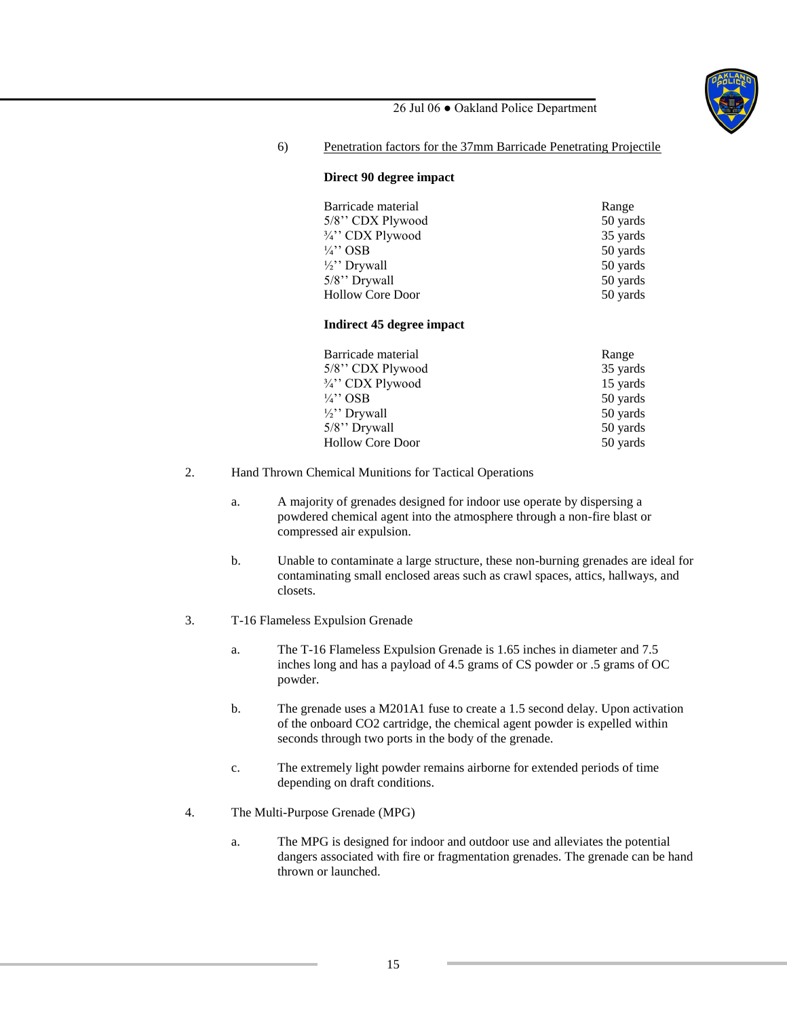![](_page_14_Picture_0.jpeg)

6) Penetration factors for the 37mm Barricade Penetrating Projectile

#### **Direct 90 degree impact**

| Barricade material      | Range    |
|-------------------------|----------|
| 5/8" CDX Plywood        | 50 yards |
| 3/4" CDX Plywood        | 35 yards |
| $\frac{1}{4}$ " OSB     | 50 yards |
| $\frac{1}{2}$ " Drywall | 50 yards |
| 5/8" Drywall            | 50 yards |
| <b>Hollow Core Door</b> | 50 yards |

#### **Indirect 45 degree impact**

| Barricade material      | Range    |
|-------------------------|----------|
| 5/8" CDX Plywood        | 35 yards |
| 3/4" CDX Plywood        | 15 yards |
| $\frac{1}{4}$ OSB       | 50 yards |
| $\frac{1}{2}$ " Drywall | 50 yards |
| 5/8" Drywall            | 50 yards |
| <b>Hollow Core Door</b> | 50 yards |

- 2. Hand Thrown Chemical Munitions for Tactical Operations
	- a. A majority of grenades designed for indoor use operate by dispersing a powdered chemical agent into the atmosphere through a non-fire blast or compressed air expulsion.
	- b. Unable to contaminate a large structure, these non-burning grenades are ideal for contaminating small enclosed areas such as crawl spaces, attics, hallways, and closets.
- 3. T-16 Flameless Expulsion Grenade
	- a. The T-16 Flameless Expulsion Grenade is 1.65 inches in diameter and 7.5 inches long and has a payload of 4.5 grams of CS powder or .5 grams of OC powder.
	- b. The grenade uses a M201A1 fuse to create a 1.5 second delay. Upon activation of the onboard CO2 cartridge, the chemical agent powder is expelled within seconds through two ports in the body of the grenade.
	- c. The extremely light powder remains airborne for extended periods of time depending on draft conditions.
- 4. The Multi-Purpose Grenade (MPG)
	- a. The MPG is designed for indoor and outdoor use and alleviates the potential dangers associated with fire or fragmentation grenades. The grenade can be hand thrown or launched.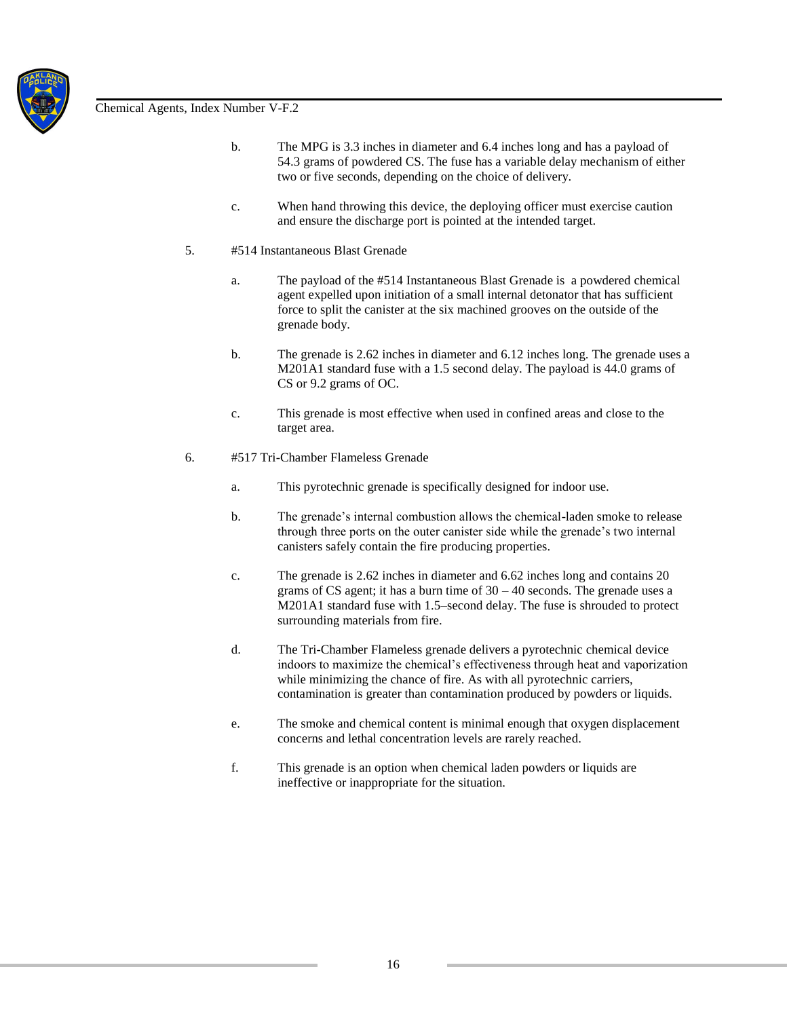![](_page_15_Picture_0.jpeg)

- b. The MPG is 3.3 inches in diameter and 6.4 inches long and has a payload of 54.3 grams of powdered CS. The fuse has a variable delay mechanism of either two or five seconds, depending on the choice of delivery.
- c. When hand throwing this device, the deploying officer must exercise caution and ensure the discharge port is pointed at the intended target.
- 5. #514 Instantaneous Blast Grenade
	- a. The payload of the #514 Instantaneous Blast Grenade is a powdered chemical agent expelled upon initiation of a small internal detonator that has sufficient force to split the canister at the six machined grooves on the outside of the grenade body.
	- b. The grenade is 2.62 inches in diameter and 6.12 inches long. The grenade uses a M201A1 standard fuse with a 1.5 second delay. The payload is 44.0 grams of CS or 9.2 grams of OC.
	- c. This grenade is most effective when used in confined areas and close to the target area.
- 6. #517 Tri-Chamber Flameless Grenade
	- a. This pyrotechnic grenade is specifically designed for indoor use.
	- b. The grenade's internal combustion allows the chemical-laden smoke to release through three ports on the outer canister side while the grenade's two internal canisters safely contain the fire producing properties.
	- c. The grenade is 2.62 inches in diameter and 6.62 inches long and contains 20 grams of CS agent; it has a burn time of  $30 - 40$  seconds. The grenade uses a M201A1 standard fuse with 1.5–second delay. The fuse is shrouded to protect surrounding materials from fire.
	- d. The Tri-Chamber Flameless grenade delivers a pyrotechnic chemical device indoors to maximize the chemical's effectiveness through heat and vaporization while minimizing the chance of fire. As with all pyrotechnic carriers, contamination is greater than contamination produced by powders or liquids.
	- e. The smoke and chemical content is minimal enough that oxygen displacement concerns and lethal concentration levels are rarely reached.
	- f. This grenade is an option when chemical laden powders or liquids are ineffective or inappropriate for the situation.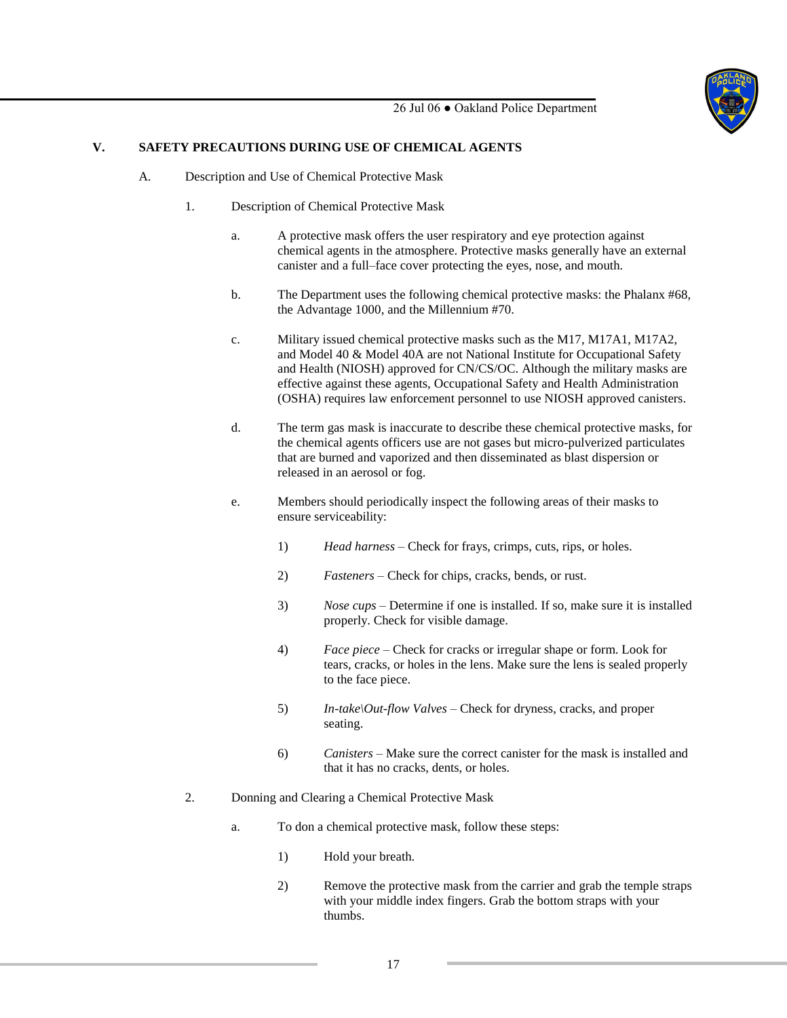![](_page_16_Picture_0.jpeg)

# **V. SAFETY PRECAUTIONS DURING USE OF CHEMICAL AGENTS**

- A. Description and Use of Chemical Protective Mask
	- 1. Description of Chemical Protective Mask
		- a. A protective mask offers the user respiratory and eye protection against chemical agents in the atmosphere. Protective masks generally have an external canister and a full–face cover protecting the eyes, nose, and mouth.
		- b. The Department uses the following chemical protective masks: the Phalanx #68, the Advantage 1000, and the Millennium #70.
		- c. Military issued chemical protective masks such as the M17, M17A1, M17A2, and Model 40 & Model 40A are not National Institute for Occupational Safety and Health (NIOSH) approved for CN/CS/OC. Although the military masks are effective against these agents, Occupational Safety and Health Administration (OSHA) requires law enforcement personnel to use NIOSH approved canisters.
		- d. The term gas mask is inaccurate to describe these chemical protective masks, for the chemical agents officers use are not gases but micro-pulverized particulates that are burned and vaporized and then disseminated as blast dispersion or released in an aerosol or fog.
		- e. Members should periodically inspect the following areas of their masks to ensure serviceability:
			- 1) *Head harness –* Check for frays, crimps, cuts, rips, or holes.
			- 2) *Fasteners –* Check for chips, cracks, bends, or rust.
			- 3) *Nose cups –* Determine if one is installed. If so, make sure it is installed properly. Check for visible damage.
			- 4) *Face piece –* Check for cracks or irregular shape or form. Look for tears, cracks, or holes in the lens. Make sure the lens is sealed properly to the face piece.
			- 5) *In-take\Out-flow Valves –* Check for dryness, cracks, and proper seating.
			- 6) *Canisters –* Make sure the correct canister for the mask is installed and that it has no cracks, dents, or holes.
	- 2. Donning and Clearing a Chemical Protective Mask
		- a. To don a chemical protective mask, follow these steps:
			- 1) Hold your breath.
			- 2) Remove the protective mask from the carrier and grab the temple straps with your middle index fingers. Grab the bottom straps with your thumbs.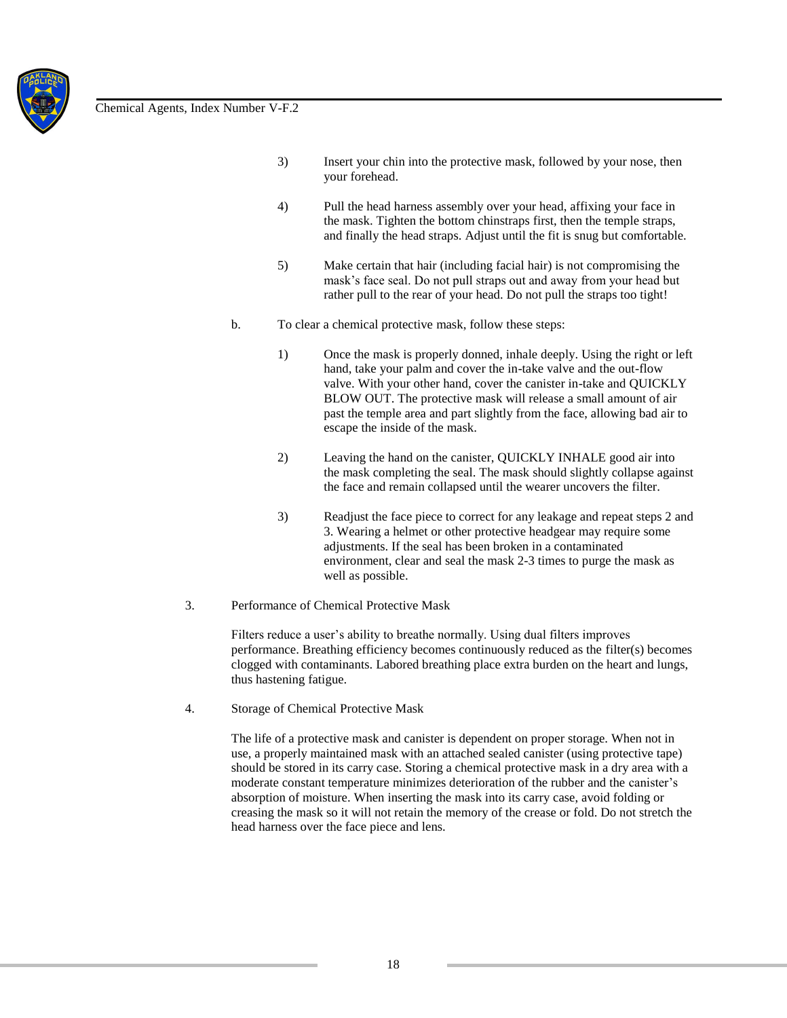![](_page_17_Picture_0.jpeg)

- 3) Insert your chin into the protective mask, followed by your nose, then your forehead.
- 4) Pull the head harness assembly over your head, affixing your face in the mask. Tighten the bottom chinstraps first, then the temple straps, and finally the head straps. Adjust until the fit is snug but comfortable.
- 5) Make certain that hair (including facial hair) is not compromising the mask's face seal. Do not pull straps out and away from your head but rather pull to the rear of your head. Do not pull the straps too tight!
- b. To clear a chemical protective mask, follow these steps:
	- 1) Once the mask is properly donned, inhale deeply. Using the right or left hand, take your palm and cover the in-take valve and the out-flow valve. With your other hand, cover the canister in-take and QUICKLY BLOW OUT. The protective mask will release a small amount of air past the temple area and part slightly from the face, allowing bad air to escape the inside of the mask.
	- 2) Leaving the hand on the canister, QUICKLY INHALE good air into the mask completing the seal. The mask should slightly collapse against the face and remain collapsed until the wearer uncovers the filter.
	- 3) Readjust the face piece to correct for any leakage and repeat steps 2 and 3. Wearing a helmet or other protective headgear may require some adjustments. If the seal has been broken in a contaminated environment, clear and seal the mask 2-3 times to purge the mask as well as possible.
- 3. Performance of Chemical Protective Mask

Filters reduce a user's ability to breathe normally. Using dual filters improves performance. Breathing efficiency becomes continuously reduced as the filter(s) becomes clogged with contaminants. Labored breathing place extra burden on the heart and lungs, thus hastening fatigue.

4. Storage of Chemical Protective Mask

The life of a protective mask and canister is dependent on proper storage. When not in use, a properly maintained mask with an attached sealed canister (using protective tape) should be stored in its carry case. Storing a chemical protective mask in a dry area with a moderate constant temperature minimizes deterioration of the rubber and the canister's absorption of moisture. When inserting the mask into its carry case, avoid folding or creasing the mask so it will not retain the memory of the crease or fold. Do not stretch the head harness over the face piece and lens.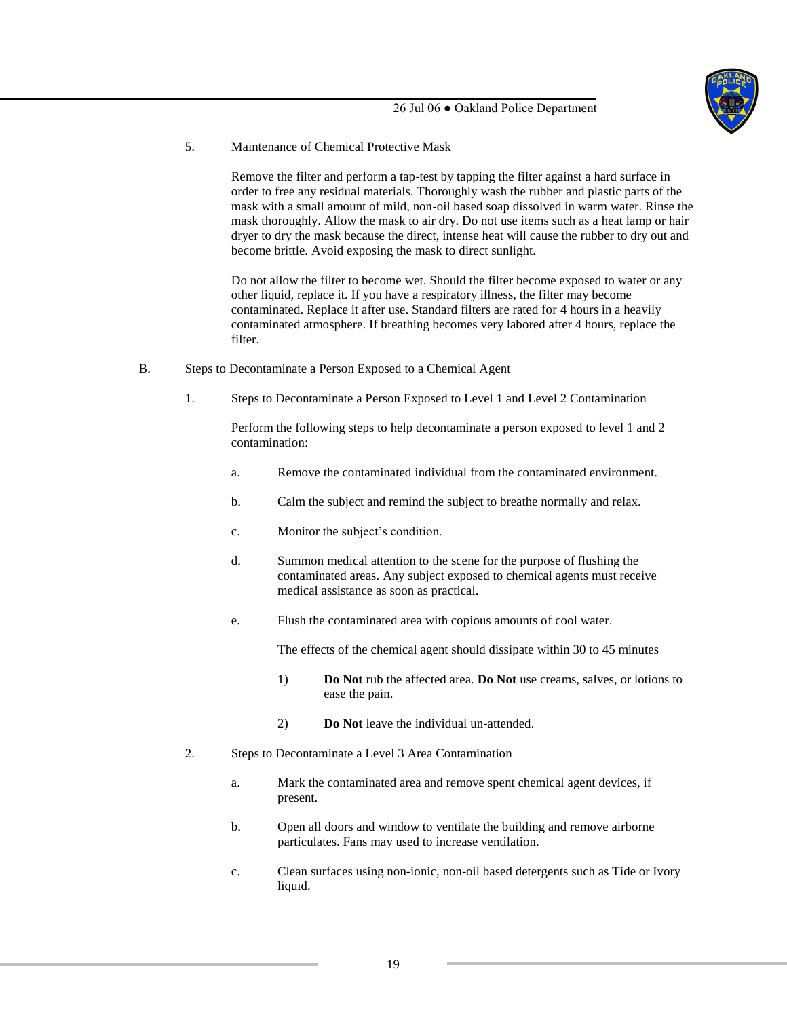![](_page_18_Picture_0.jpeg)

## 5. Maintenance of Chemical Protective Mask

Remove the filter and perform a tap-test by tapping the filter against a hard surface in order to free any residual materials. Thoroughly wash the rubber and plastic parts of the mask with a small amount of mild, non-oil based soap dissolved in warm water. Rinse the mask thoroughly. Allow the mask to air dry. Do not use items such as a heat lamp or hair dryer to dry the mask because the direct, intense heat will cause the rubber to dry out and become brittle. Avoid exposing the mask to direct sunlight.

Do not allow the filter to become wet. Should the filter become exposed to water or any other liquid, replace it. If you have a respiratory illness, the filter may become contaminated. Replace it after use. Standard filters are rated for 4 hours in a heavily contaminated atmosphere. If breathing becomes very labored after 4 hours, replace the filter.

- B. Steps to Decontaminate a Person Exposed to a Chemical Agent
	- 1. Steps to Decontaminate a Person Exposed to Level 1 and Level 2 Contamination

Perform the following steps to help decontaminate a person exposed to level 1 and 2 contamination:

- a. Remove the contaminated individual from the contaminated environment.
- b. Calm the subject and remind the subject to breathe normally and relax.
- c. Monitor the subject's condition.
- d. Summon medical attention to the scene for the purpose of flushing the contaminated areas. Any subject exposed to chemical agents must receive medical assistance as soon as practical.
- e. Flush the contaminated area with copious amounts of cool water.

The effects of the chemical agent should dissipate within 30 to 45 minutes

- 1) **Do Not** rub the affected area. **Do Not** use creams, salves, or lotions to ease the pain.
- 2) **Do Not** leave the individual un-attended.
- 2. Steps to Decontaminate a Level 3 Area Contamination
	- a. Mark the contaminated area and remove spent chemical agent devices, if present.
	- b. Open all doors and window to ventilate the building and remove airborne particulates. Fans may used to increase ventilation.
	- c. Clean surfaces using non-ionic, non-oil based detergents such as Tide or Ivory liquid.